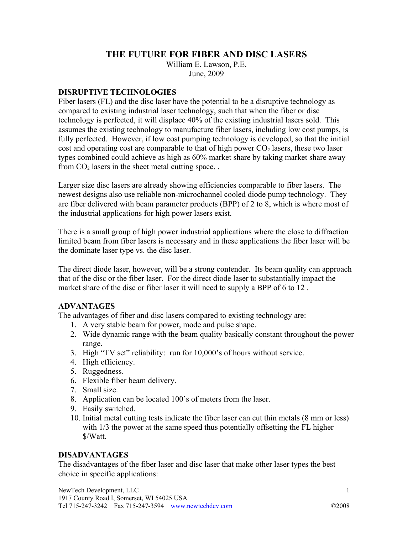# **THE FUTURE FOR FIBER AND DISC LASERS**

William E. Lawson, P.E.

June, 2009

#### **DISRUPTIVE TECHNOLOGIES**

Fiber lasers (FL) and the disc laser have the potential to be a disruptive technology as compared to existing industrial laser technology, such that when the fiber or disc technology is perfected, it will displace 40% of the existing industrial lasers sold. This assumes the existing technology to manufacture fiber lasers, including low cost pumps, is fully perfected. However, if low cost pumping technology is developed, so that the initial cost and operating cost are comparable to that of high power  $CO<sub>2</sub>$  lasers, these two laser types combined could achieve as high as 60% market share by taking market share away from  $CO<sub>2</sub>$  lasers in the sheet metal cutting space..

Larger size disc lasers are already showing efficiencies comparable to fiber lasers. The newest designs also use reliable non-microchannel cooled diode pump technology. They are fiber delivered with beam parameter products (BPP) of 2 to 8, which is where most of the industrial applications for high power lasers exist.

There is a small group of high power industrial applications where the close to diffraction limited beam from fiber lasers is necessary and in these applications the fiber laser will be the dominate laser type vs. the disc laser.

The direct diode laser, however, will be a strong contender. Its beam quality can approach that of the disc or the fiber laser. For the direct diode laser to substantially impact the market share of the disc or fiber laser it will need to supply a BPP of 6 to 12 .

### **ADVANTAGES**

The advantages of fiber and disc lasers compared to existing technology are:

- 1. A very stable beam for power, mode and pulse shape.
- 2. Wide dynamic range with the beam quality basically constant throughout the power range.
- 3. High "TV set" reliability: run for 10,000's of hours without service.
- 4. High efficiency.
- 5. Ruggedness.
- 6. Flexible fiber beam delivery.
- 7. Small size.
- 8. Application can be located 100's of meters from the laser.
- 9. Easily switched.
- 10. Initial metal cutting tests indicate the fiber laser can cut thin metals (8 mm or less) with  $1/3$  the power at the same speed thus potentially offsetting the FL higher \$/Watt.

### **DISADVANTAGES**

The disadvantages of the fiber laser and disc laser that make other laser types the best choice in specific applications: